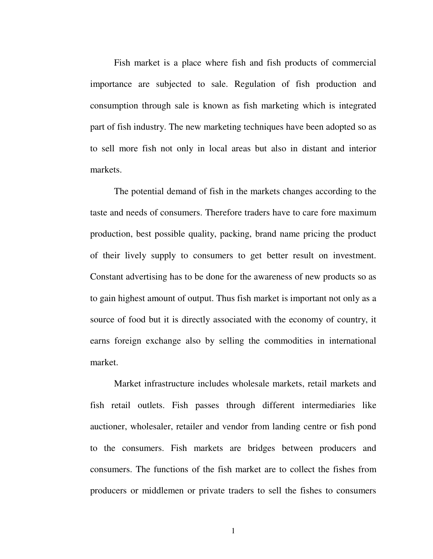Fish market is a place where fish and fish products of commercial importance are subjected to sale. Regulation of fish production and consumption through sale is known as fish marketing which is integrated part of fish industry. The new marketing techniques have been adopted so as to sell more fish not only in local areas but also in distant and interior markets.

 The potential demand of fish in the markets changes according to the taste and needs of consumers. Therefore traders have to care fore maximum production, best possible quality, packing, brand name pricing the product of their lively supply to consumers to get better result on investment. Constant advertising has to be done for the awareness of new products so as to gain highest amount of output. Thus fish market is important not only as a source of food but it is directly associated with the economy of country, it earns foreign exchange also by selling the commodities in international market.

 Market infrastructure includes wholesale markets, retail markets and fish retail outlets. Fish passes through different intermediaries like auctioner, wholesaler, retailer and vendor from landing centre or fish pond to the consumers. Fish markets are bridges between producers and consumers. The functions of the fish market are to collect the fishes from producers or middlemen or private traders to sell the fishes to consumers

1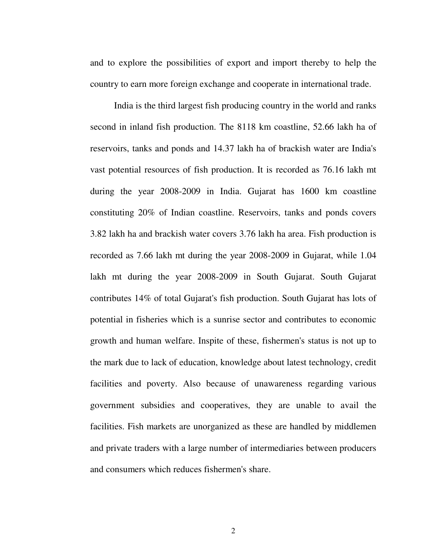and to explore the possibilities of export and import thereby to help the country to earn more foreign exchange and cooperate in international trade.

 India is the third largest fish producing country in the world and ranks second in inland fish production. The 8118 km coastline, 52.66 lakh ha of reservoirs, tanks and ponds and 14.37 lakh ha of brackish water are India's vast potential resources of fish production. It is recorded as 76.16 lakh mt during the year 2008-2009 in India. Gujarat has 1600 km coastline constituting 20% of Indian coastline. Reservoirs, tanks and ponds covers 3.82 lakh ha and brackish water covers 3.76 lakh ha area. Fish production is recorded as 7.66 lakh mt during the year 2008-2009 in Gujarat, while 1.04 lakh mt during the year 2008-2009 in South Gujarat. South Gujarat contributes 14% of total Gujarat's fish production. South Gujarat has lots of potential in fisheries which is a sunrise sector and contributes to economic growth and human welfare. Inspite of these, fishermen's status is not up to the mark due to lack of education, knowledge about latest technology, credit facilities and poverty. Also because of unawareness regarding various government subsidies and cooperatives, they are unable to avail the facilities. Fish markets are unorganized as these are handled by middlemen and private traders with a large number of intermediaries between producers and consumers which reduces fishermen's share.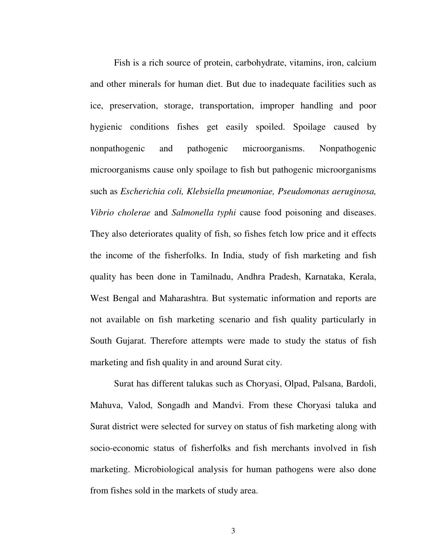Fish is a rich source of protein, carbohydrate, vitamins, iron, calcium and other minerals for human diet. But due to inadequate facilities such as ice, preservation, storage, transportation, improper handling and poor hygienic conditions fishes get easily spoiled. Spoilage caused by nonpathogenic and pathogenic microorganisms. Nonpathogenic microorganisms cause only spoilage to fish but pathogenic microorganisms such as *Escherichia coli, Klebsiella pneumoniae, Pseudomonas aeruginosa, Vibrio cholerae* and *Salmonella typhi* cause food poisoning and diseases. They also deteriorates quality of fish, so fishes fetch low price and it effects the income of the fisherfolks. In India, study of fish marketing and fish quality has been done in Tamilnadu, Andhra Pradesh, Karnataka, Kerala, West Bengal and Maharashtra. But systematic information and reports are not available on fish marketing scenario and fish quality particularly in South Gujarat. Therefore attempts were made to study the status of fish marketing and fish quality in and around Surat city.

 Surat has different talukas such as Choryasi, Olpad, Palsana, Bardoli, Mahuva, Valod, Songadh and Mandvi. From these Choryasi taluka and Surat district were selected for survey on status of fish marketing along with socio-economic status of fisherfolks and fish merchants involved in fish marketing. Microbiological analysis for human pathogens were also done from fishes sold in the markets of study area.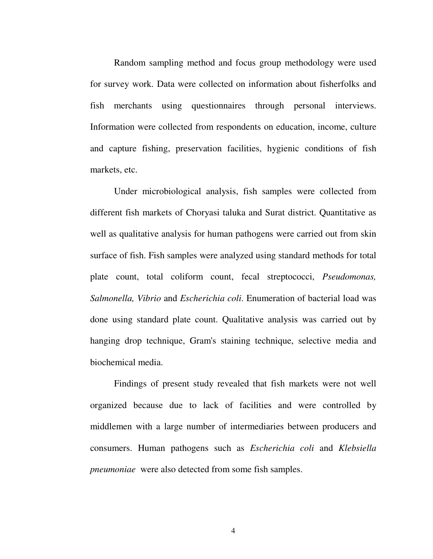Random sampling method and focus group methodology were used for survey work. Data were collected on information about fisherfolks and fish merchants using questionnaires through personal interviews. Information were collected from respondents on education, income, culture and capture fishing, preservation facilities, hygienic conditions of fish markets, etc.

 Under microbiological analysis, fish samples were collected from different fish markets of Choryasi taluka and Surat district. Quantitative as well as qualitative analysis for human pathogens were carried out from skin surface of fish. Fish samples were analyzed using standard methods for total plate count, total coliform count, fecal streptococci, *Pseudomonas, Salmonella, Vibrio* and *Escherichia coli*. Enumeration of bacterial load was done using standard plate count. Qualitative analysis was carried out by hanging drop technique, Gram's staining technique, selective media and biochemical media.

 Findings of present study revealed that fish markets were not well organized because due to lack of facilities and were controlled by middlemen with a large number of intermediaries between producers and consumers. Human pathogens such as *Escherichia coli* and *Klebsiella pneumoniae* were also detected from some fish samples.